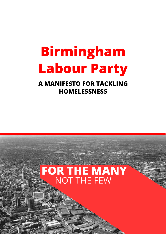# **Birmingham Labour Party**

**A MANIFESTO FOR TACKLING HOMELESSNESS**

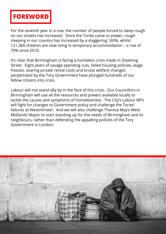

For the seventh year in a row, the number of people forced to sleep rough on our streets has increased. Since the Tories came to power, rough sleeping in our country has increased by a staggering 169%, whilst 121,360 children are now living in temporary accommodation – a rise of 70% since 2010.

It's clear that Birmingham is facing a homeless crisis made in Downing Street. Eight years of savage spending cuts, failed housing policies, wage freezes, soaring private rental costs and brutal welfare changes perpetrated by the Tory Government have plunged hundreds of our fellow citizens into crisis.

Labour will not stand idly by in the face of this crisis. Our Councillors in Birmingham will use all the resources and powers available locally to tackle the causes and symptoms of homelessness. The City's Labour MPs will fight for changes to Government policy and challenge the Tories' failures at Westminster. And we will also challenge Theresa May's West Midlands Mayor to start standing up for the needs of Birmingham and its neighbours, rather than defending the appalling policies of the Tory Government in London.

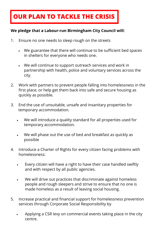## **OUR PLAN TO TACKLE THE CRISIS**

### **We pledge that a Labour-run Birmingham City Council will:**

- 1. Ensure no one needs to sleep rough on the streets
	- We guarantee that there will continue to be sufficient bed spaces in shelters for everyone who needs one.
	- We will continue to support outreach services and work in partnership with health, police and voluntary services across the city.
- 2. Work with partners to prevent people falling into homelessness in the first place, or help get them back into safe and secure housing as quickly as possible.
- 3. End the use of unsuitable, unsafe and insanitary properties for temporary accommodation.
	- We will introduce a quality standard for all properties used for temporary accommodation.
	- We will phase out the use of bed and breakfast as quickly as possible
- 4. Introduce a Charter of Rights for every citizen facing problems with homelessness:
	- Every citizen will have a right to have their case handled swiftly and with respect by all public agencies.
	- We will drive out practices that discriminate against homeless people and rough sleepers and strive to ensure that no one is made homeless as a result of leaving social housing.
- 5. Increase practical and financial support for homelessness prevention services through Corporate Social Responsibility by
	- Applying a CSR levy on commercial events taking place in the city centre.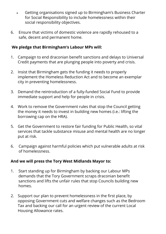- Getting organisations signed up to Birmingham's Business Charter for Social Responsibility to include homelessness within their social responsibility objectives.
- 6. Ensure that victims of domestic violence are rapidly rehoused to a safe, decent and permanent home.

### **We pledge that Birmingham's Labour MPs will:**

- 1. Campaign to end draconian benefit sanctions and delays to Universal Credit payments that are plunging people into poverty and crisis.
- 2. Insist that Birmingham gets the funding it needs to properly implement the Homeless Reduction Act and to become an exemplar city in preventing homelessness.
- 3. Demand the reintroduction of a fully-funded Social Fund to provide immediate support and help for people in crisis.
- 4. Work to remove the Government rules that stop the Council getting the money it needs to invest in building new homes (i.e.: lifting the borrowing cap on the HRA).
- 5. Get the Government to restore fair funding for Public Health, so vital services that tackle substance misuse and mental health are no longer put at risk.
- 6. Campaign against harmful policies which put vulnerable adults at risk of homelessness.

#### **And we will press the Tory West Midlands Mayor to:**

- 1. Start standing up for Birmingham by backing our Labour MPs demands that the Tory Government scraps draconian benefit sanctions and lifts the unfair rules that stop Councils building new homes.
- 2. Support our plan to prevent homelessness in the first place, by opposing Government cuts and welfare changes such as the Bedroom Tax and backing our call for an urgent review of the current Local Housing Allowance rates.